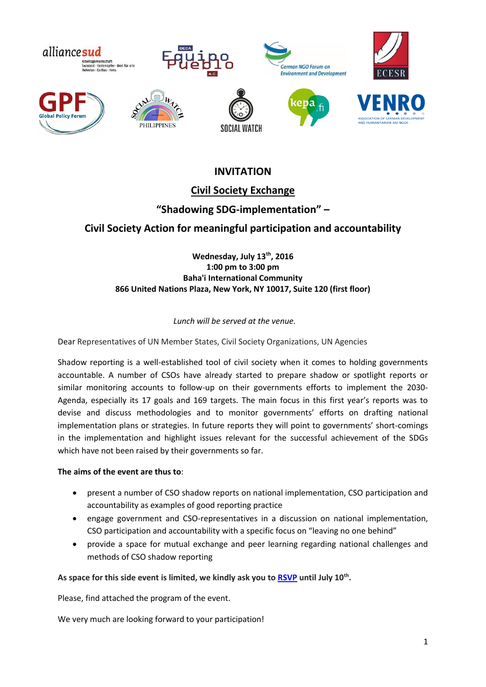

## **INVITATION**

## **Civil Society Exchange**

### **"Shadowing SDG-implementation" –**

## **Civil Society Action for meaningful participation and accountability**

### **Wednesday, July 13th, 2016 1:00 pm to 3:00 pm Baha'i International Community 866 United Nations Plaza, New York, NY 10017, Suite 120 (first floor)**

### *Lunch will be served at the venue.*

Dear Representatives of UN Member States, Civil Society Organizations, UN Agencies

Shadow reporting is a well-established tool of civil society when it comes to holding governments accountable. A number of CSOs have already started to prepare shadow or spotlight reports or similar monitoring accounts to follow-up on their governments efforts to implement the 2030- Agenda, especially its 17 goals and 169 targets. The main focus in this first year's reports was to devise and discuss methodologies and to monitor governments' efforts on drafting national implementation plans or strategies. In future reports they will point to governments' short-comings in the implementation and highlight issues relevant for the successful achievement of the SDGs which have not been raised by their governments so far.

#### **The aims of the event are thus to**:

- present a number of CSO shadow reports on national implementation, CSO participation and accountability as examples of good reporting practice
- engage government and CSO-representatives in a discussion on national implementation, CSO participation and accountability with a specific focus on "leaving no one behind"
- provide a space for mutual exchange and peer learning regarding national challenges and methods of CSO shadow reporting

#### **As space for this side event is limited, we kindly ask you to [RSVP](http://www.otseinladung.de/event/da3495e7dc) until July 10th .**

Please, find attached the program of the event.

We very much are looking forward to your participation!